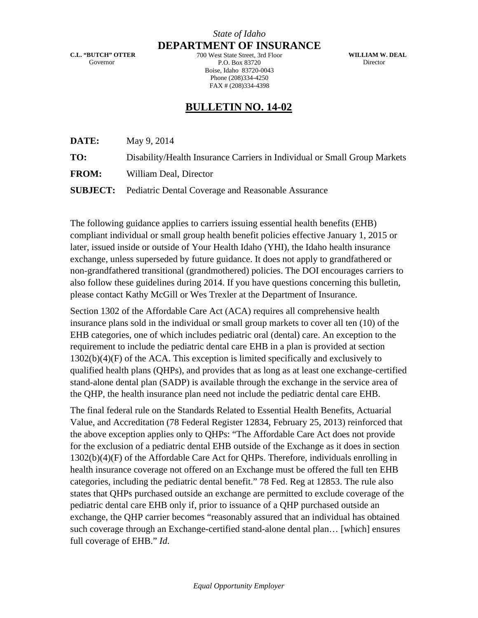**C.L. "BUTCH" OTTER**  Governor

*State of Idaho* **DEPARTMENT OF INSURANCE**

700 West State Street, 3rd Floor P.O. Box 83720 Boise, Idaho 83720-0043 Phone (208)334-4250 FAX # (208)334-4398

**WILLIAM W. DEAL**  Director

## **BULLETIN NO. 14-02**

**DATE:** May 9, 2014

**TO:** Disability/Health Insurance Carriers in Individual or Small Group Markets

**FROM:** William Deal, Director

**SUBJECT:** Pediatric Dental Coverage and Reasonable Assurance

The following guidance applies to carriers issuing essential health benefits (EHB) compliant individual or small group health benefit policies effective January 1, 2015 or later, issued inside or outside of Your Health Idaho (YHI), the Idaho health insurance exchange, unless superseded by future guidance. It does not apply to grandfathered or non-grandfathered transitional (grandmothered) policies. The DOI encourages carriers to also follow these guidelines during 2014. If you have questions concerning this bulletin, please contact Kathy McGill or Wes Trexler at the Department of Insurance.

Section 1302 of the Affordable Care Act (ACA) requires all comprehensive health insurance plans sold in the individual or small group markets to cover all ten (10) of the EHB categories, one of which includes pediatric oral (dental) care. An exception to the requirement to include the pediatric dental care EHB in a plan is provided at section 1302(b)(4)(F) of the ACA. This exception is limited specifically and exclusively to qualified health plans (QHPs), and provides that as long as at least one exchange-certified stand-alone dental plan (SADP) is available through the exchange in the service area of the QHP, the health insurance plan need not include the pediatric dental care EHB.

The final federal rule on the Standards Related to Essential Health Benefits, Actuarial Value, and Accreditation (78 Federal Register 12834, February 25, 2013) reinforced that the above exception applies only to QHPs: "The Affordable Care Act does not provide for the exclusion of a pediatric dental EHB outside of the Exchange as it does in section 1302(b)(4)(F) of the Affordable Care Act for QHPs. Therefore, individuals enrolling in health insurance coverage not offered on an Exchange must be offered the full ten EHB categories, including the pediatric dental benefit." 78 Fed. Reg at 12853. The rule also states that QHPs purchased outside an exchange are permitted to exclude coverage of the pediatric dental care EHB only if, prior to issuance of a QHP purchased outside an exchange, the QHP carrier becomes "reasonably assured that an individual has obtained such coverage through an Exchange-certified stand-alone dental plan… [which] ensures full coverage of EHB." *Id*.